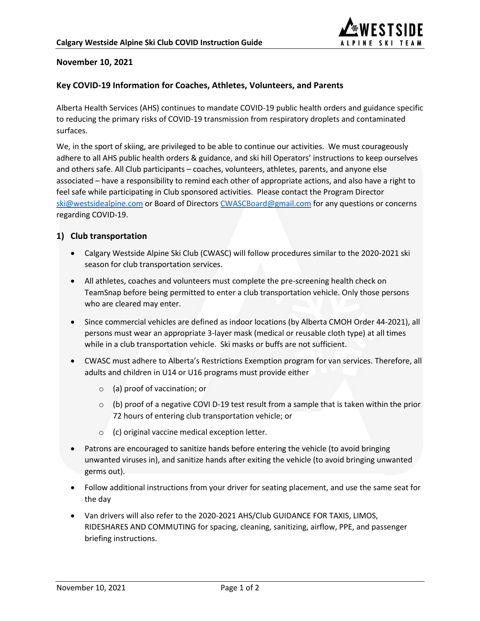

## **November 10, 2021**

#### **Key COVID-19 Information for Coaches, Athletes, Volunteers, and Parents**

Alberta Health Services (AHS) continues to mandate COVID-19 public health orders and guidance specific to reducing the primary risks of COVID-19 transmission from respiratory droplets and contaminated surfaces.

We, in the sport of skiing, are privileged to be able to continue our activities. We must courageously adhere to all AHS public health orders & guidance, and ski hill Operators' instructions to keep ourselves and others safe. All Club participants – coaches, volunteers, athletes, parents, and anyone else associated – have a responsibility to remind each other of appropriate actions, and also have a right to feel safe while participating in Club sponsored activities. Please contact the Program Director [ski@westsidealpine.com](mailto:ski@westsidealpine.com) or Board of Directors [CWASCBoard@gmail.com](mailto:CWASCBoard@gmail.com) for any questions or concerns regarding COVID-19.

### **1) Club transportation**

- Calgary Westside Alpine Ski Club (CWASC) will follow procedures similar to the 2020-2021 ski season for club transportation services.
- All athletes, coaches and volunteers must complete the pre-screening health check on TeamSnap before being permitted to enter a club transportation vehicle. Only those persons who are cleared may enter.
- Since commercial vehicles are defined as indoor locations (by Alberta CMOH Order 44-2021), all persons must wear an appropriate 3-layer mask (medical or reusable cloth type) at all times while in a club transportation vehicle. Ski masks or buffs are not sufficient.
- CWASC must adhere to Alberta's Restrictions Exemption program for van services. Therefore, all adults and children in U14 or U16 programs must provide either
	- o (a) proof of vaccination; or
	- $\circ$  (b) proof of a negative COVI D-19 test result from a sample that is taken within the prior 72 hours of entering club transportation vehicle; or
	- o (c) original vaccine medical exception letter.
- Patrons are encouraged to sanitize hands before entering the vehicle (to avoid bringing unwanted viruses in), and sanitize hands after exiting the vehicle (to avoid bringing unwanted germs out).
- Follow additional instructions from your driver for seating placement, and use the same seat for the day
- Van drivers will also refer to the 2020-2021 AHS/Club GUIDANCE FOR TAXIS, LIMOS, RIDESHARES AND COMMUTING for spacing, cleaning, sanitizing, airflow, PPE, and passenger briefing instructions.